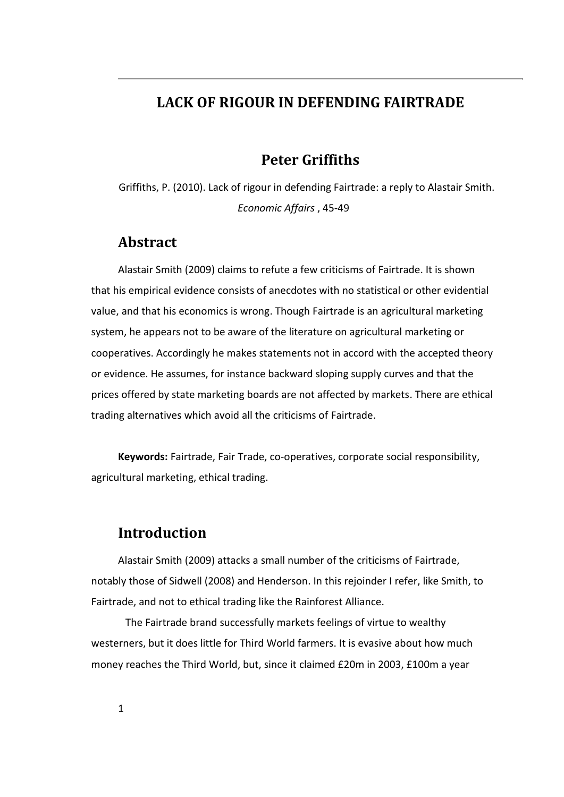## **LACK OF RIGOUR IN DEFENDING FAIRTRADE**

# **Peter Griffiths**

Griffiths, P. (2010). Lack of rigour in defending Fairtrade: a reply to Alastair Smith. *Economic Affairs* , 45-49

## **Abstract**

Alastair Smith (2009) claims to refute a few criticisms of Fairtrade. It is shown that his empirical evidence consists of anecdotes with no statistical or other evidential value, and that his economics is wrong. Though Fairtrade is an agricultural marketing system, he appears not to be aware of the literature on agricultural marketing or cooperatives. Accordingly he makes statements not in accord with the accepted theory or evidence. He assumes, for instance backward sloping supply curves and that the prices offered by state marketing boards are not affected by markets. There are ethical trading alternatives which avoid all the criticisms of Fairtrade.

**Keywords:** Fairtrade, Fair Trade, co-operatives, corporate social responsibility, agricultural marketing, ethical trading.

### **Introduction**

Alastair Smith (2009) attacks a small number of the criticisms of Fairtrade, notably those of Sidwell (2008) and Henderson. In this rejoinder I refer, like Smith, to Fairtrade, and not to ethical trading like the Rainforest Alliance.

The Fairtrade brand successfully markets feelings of virtue to wealthy westerners, but it does little for Third World farmers. It is evasive about how much money reaches the Third World, but, since it claimed £20m in 2003, £100m a year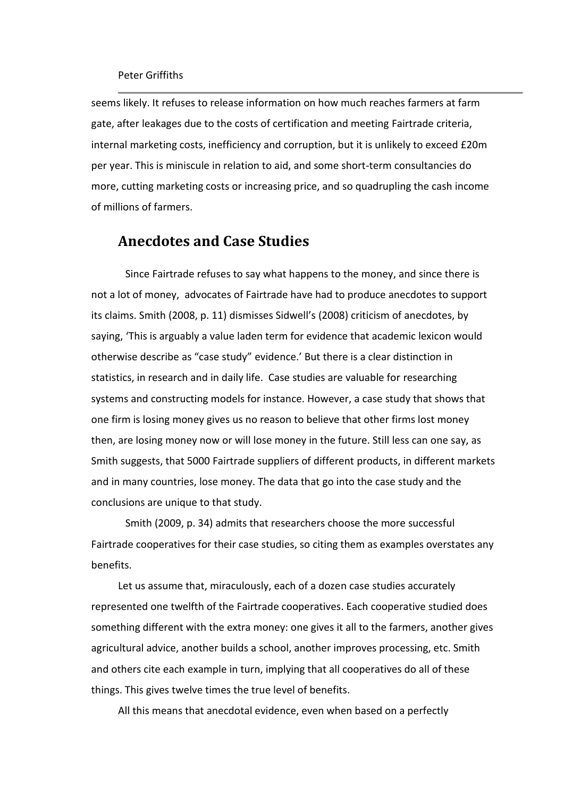seems likely. It refuses to release information on how much reaches farmers at farm gate, after leakages due to the costs of certification and meeting Fairtrade criteria, internal marketing costs, inefficiency and corruption, but it is unlikely to exceed £20m per year. This is miniscule in relation to aid, and some short-term consultancies do more, cutting marketing costs or increasing price, and so quadrupling the cash income of millions of farmers.

## **Anecdotes and Case Studies**

Since Fairtrade refuses to say what happens to the money, and since there is not a lot of money, advocates of Fairtrade have had to produce anecdotes to support its claims. Smith (2008, p. 11) dismisses Sidwell's (2008) criticism of anecdotes, by saying, 'This is arguably a value laden term for evidence that academic lexicon would otherwise describe as "case study" evidence.' But there is a clear distinction in statistics, in research and in daily life. Case studies are valuable for researching systems and constructing models for instance. However, a case study that shows that one firm is losing money gives us no reason to believe that other firms lost money then, are losing money now or will lose money in the future. Still less can one say, as Smith suggests, that 5000 Fairtrade suppliers of different products, in different markets and in many countries, lose money. The data that go into the case study and the conclusions are unique to that study.

Smith (2009, p. 34) admits that researchers choose the more successful Fairtrade cooperatives for their case studies, so citing them as examples overstates any benefits.

Let us assume that, miraculously, each of a dozen case studies accurately represented one twelfth of the Fairtrade cooperatives. Each cooperative studied does something different with the extra money: one gives it all to the farmers, another gives agricultural advice, another builds a school, another improves processing, etc. Smith and others cite each example in turn, implying that all cooperatives do all of these things. This gives twelve times the true level of benefits.

All this means that anecdotal evidence, even when based on a perfectly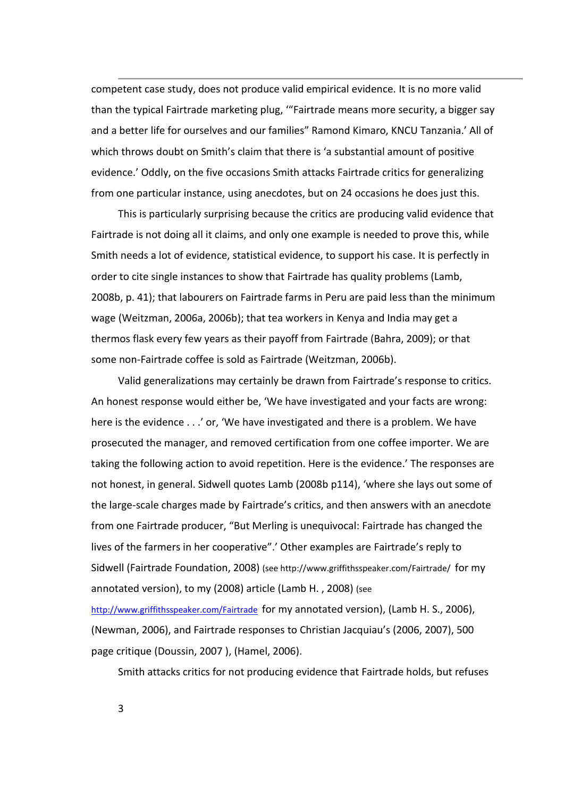competent case study, does not produce valid empirical evidence. It is no more valid than the typical Fairtrade marketing plug, '"Fairtrade means more security, a bigger say and a better life for ourselves and our families" Ramond Kimaro, KNCU Tanzania.' All of which throws doubt on Smith's claim that there is 'a substantial amount of positive evidence.' Oddly, on the five occasions Smith attacks Fairtrade critics for generalizing from one particular instance, using anecdotes, but on 24 occasions he does just this.

This is particularly surprising because the critics are producing valid evidence that Fairtrade is not doing all it claims, and only one example is needed to prove this, while Smith needs a lot of evidence, statistical evidence, to support his case. It is perfectly in order to cite single instances to show that Fairtrade has quality problems (Lamb, 2008b, p. 41); that labourers on Fairtrade farms in Peru are paid less than the minimum wage (Weitzman, 2006a, 2006b); that tea workers in Kenya and India may get a thermos flask every few years as their payoff from Fairtrade (Bahra, 2009); or that some non-Fairtrade coffee is sold as Fairtrade (Weitzman, 2006b).

Valid generalizations may certainly be drawn from Fairtrade's response to critics. An honest response would either be, 'We have investigated and your facts are wrong: here is the evidence . . .' or, 'We have investigated and there is a problem. We have prosecuted the manager, and removed certification from one coffee importer. We are taking the following action to avoid repetition. Here is the evidence.' The responses are not honest, in general. Sidwell quotes Lamb (2008b p114), 'where she lays out some of the large-scale charges made by Fairtrade's critics, and then answers with an anecdote from one Fairtrade producer, "But Merling is unequivocal: Fairtrade has changed the lives of the farmers in her cooperative".' Other examples are Fairtrade's reply to Sidwell (Fairtrade Foundation, 2008) (see http://www.griffithsspeaker.com/Fairtrade/ for my annotated version), to my (2008) article (Lamb H. , 2008) (see

<http://www.griffithsspeaker.com/Fairtrade>for my annotated version), (Lamb H. S., 2006), (Newman, 2006), and Fairtrade responses to Christian Jacquiau's (2006, 2007), 500 page critique (Doussin, 2007 ), (Hamel, 2006).

Smith attacks critics for not producing evidence that Fairtrade holds, but refuses

3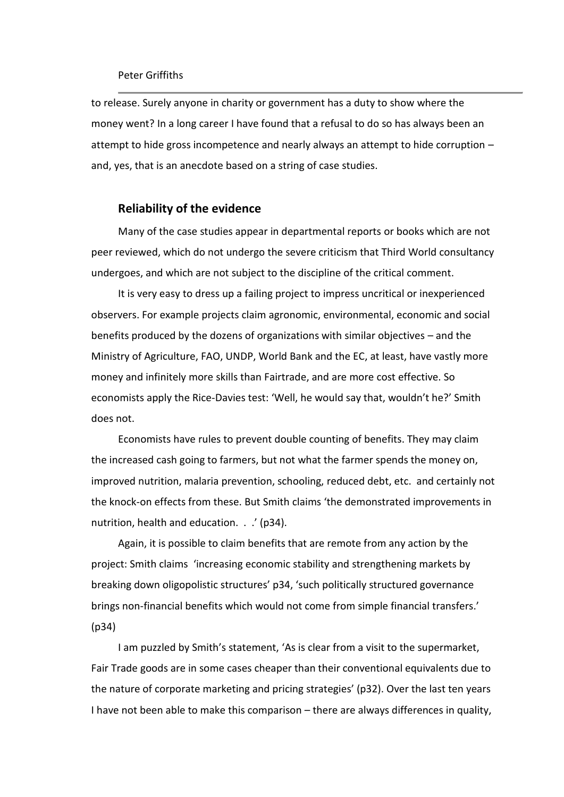to release. Surely anyone in charity or government has a duty to show where the money went? In a long career I have found that a refusal to do so has always been an attempt to hide gross incompetence and nearly always an attempt to hide corruption – and, yes, that is an anecdote based on a string of case studies.

### **Reliability of the evidence**

Many of the case studies appear in departmental reports or books which are not peer reviewed, which do not undergo the severe criticism that Third World consultancy undergoes, and which are not subject to the discipline of the critical comment.

It is very easy to dress up a failing project to impress uncritical or inexperienced observers. For example projects claim agronomic, environmental, economic and social benefits produced by the dozens of organizations with similar objectives – and the Ministry of Agriculture, FAO, UNDP, World Bank and the EC, at least, have vastly more money and infinitely more skills than Fairtrade, and are more cost effective. So economists apply the Rice-Davies test: 'Well, he would say that, wouldn't he?' Smith does not.

Economists have rules to prevent double counting of benefits. They may claim the increased cash going to farmers, but not what the farmer spends the money on, improved nutrition, malaria prevention, schooling, reduced debt, etc. and certainly not the knock-on effects from these. But Smith claims 'the demonstrated improvements in nutrition, health and education. . .' (p34).

Again, it is possible to claim benefits that are remote from any action by the project: Smith claims 'increasing economic stability and strengthening markets by breaking down oligopolistic structures' p34, 'such politically structured governance brings non-financial benefits which would not come from simple financial transfers.' (p34)

I am puzzled by Smith's statement, 'As is clear from a visit to the supermarket, Fair Trade goods are in some cases cheaper than their conventional equivalents due to the nature of corporate marketing and pricing strategies' (p32). Over the last ten years I have not been able to make this comparison – there are always differences in quality,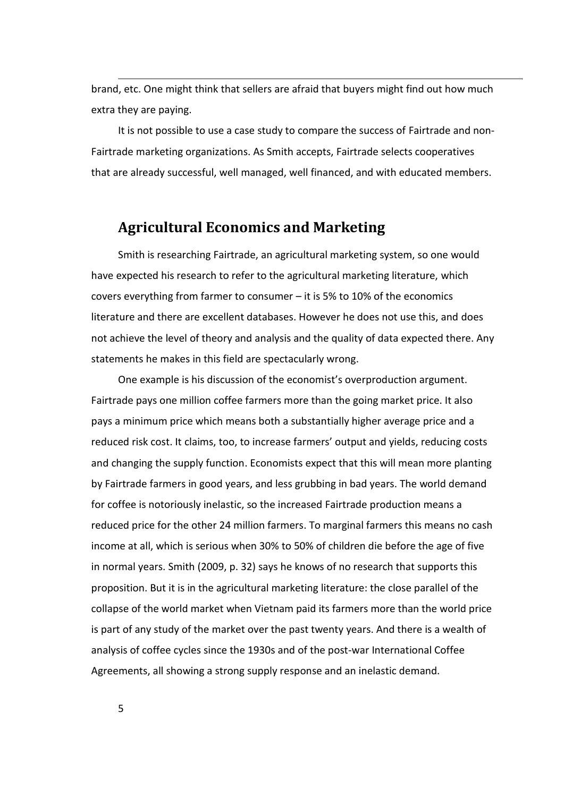brand, etc. One might think that sellers are afraid that buyers might find out how much extra they are paying.

It is not possible to use a case study to compare the success of Fairtrade and non-Fairtrade marketing organizations. As Smith accepts, Fairtrade selects cooperatives that are already successful, well managed, well financed, and with educated members.

# **Agricultural Economics and Marketing**

Smith is researching Fairtrade, an agricultural marketing system, so one would have expected his research to refer to the agricultural marketing literature, which covers everything from farmer to consumer – it is 5% to 10% of the economics literature and there are excellent databases. However he does not use this, and does not achieve the level of theory and analysis and the quality of data expected there. Any statements he makes in this field are spectacularly wrong.

One example is his discussion of the economist's overproduction argument. Fairtrade pays one million coffee farmers more than the going market price. It also pays a minimum price which means both a substantially higher average price and a reduced risk cost. It claims, too, to increase farmers' output and yields, reducing costs and changing the supply function. Economists expect that this will mean more planting by Fairtrade farmers in good years, and less grubbing in bad years. The world demand for coffee is notoriously inelastic, so the increased Fairtrade production means a reduced price for the other 24 million farmers. To marginal farmers this means no cash income at all, which is serious when 30% to 50% of children die before the age of five in normal years. Smith (2009, p. 32) says he knows of no research that supports this proposition. But it is in the agricultural marketing literature: the close parallel of the collapse of the world market when Vietnam paid its farmers more than the world price is part of any study of the market over the past twenty years. And there is a wealth of analysis of coffee cycles since the 1930s and of the post-war International Coffee Agreements, all showing a strong supply response and an inelastic demand.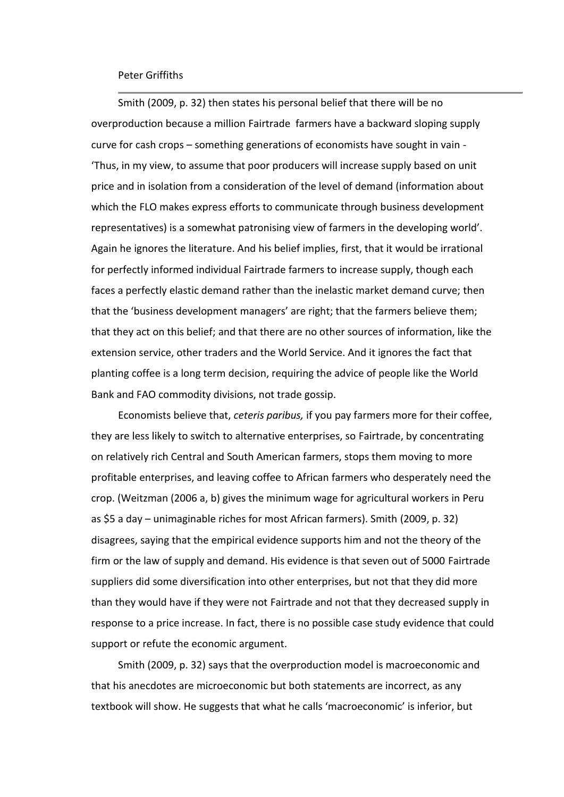Smith (2009, p. 32) then states his personal belief that there will be no overproduction because a million Fairtrade farmers have a backward sloping supply curve for cash crops – something generations of economists have sought in vain - 'Thus, in my view, to assume that poor producers will increase supply based on unit price and in isolation from a consideration of the level of demand (information about which the FLO makes express efforts to communicate through business development representatives) is a somewhat patronising view of farmers in the developing world'. Again he ignores the literature. And his belief implies, first, that it would be irrational for perfectly informed individual Fairtrade farmers to increase supply, though each faces a perfectly elastic demand rather than the inelastic market demand curve; then that the 'business development managers' are right; that the farmers believe them; that they act on this belief; and that there are no other sources of information, like the extension service, other traders and the World Service. And it ignores the fact that planting coffee is a long term decision, requiring the advice of people like the World Bank and FAO commodity divisions, not trade gossip.

Economists believe that, *ceteris paribus,* if you pay farmers more for their coffee, they are less likely to switch to alternative enterprises, so Fairtrade, by concentrating on relatively rich Central and South American farmers, stops them moving to more profitable enterprises, and leaving coffee to African farmers who desperately need the crop. (Weitzman (2006 a, b) gives the minimum wage for agricultural workers in Peru as \$5 a day – unimaginable riches for most African farmers). Smith (2009, p. 32) disagrees, saying that the empirical evidence supports him and not the theory of the firm or the law of supply and demand. His evidence is that seven out of 5000 Fairtrade suppliers did some diversification into other enterprises, but not that they did more than they would have if they were not Fairtrade and not that they decreased supply in response to a price increase. In fact, there is no possible case study evidence that could support or refute the economic argument.

Smith (2009, p. 32) says that the overproduction model is macroeconomic and that his anecdotes are microeconomic but both statements are incorrect, as any textbook will show. He suggests that what he calls 'macroeconomic' is inferior, but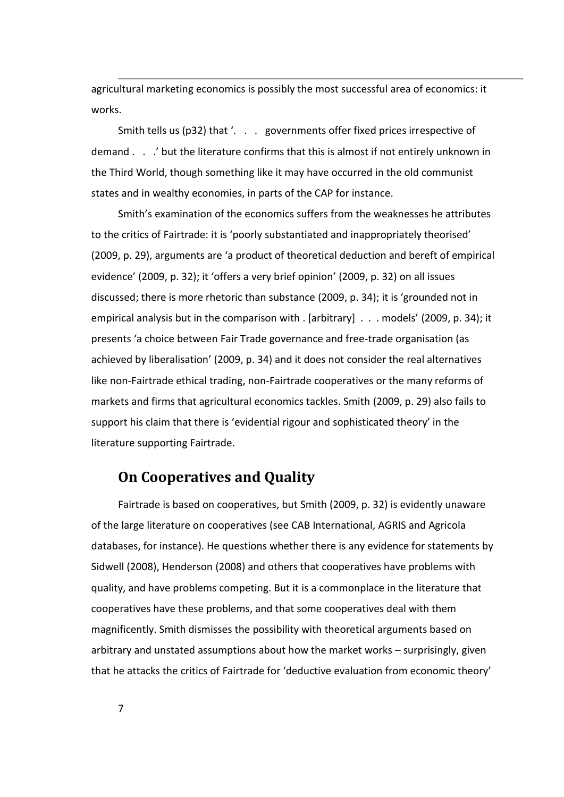agricultural marketing economics is possibly the most successful area of economics: it works.

Smith tells us (p32) that '. . . governments offer fixed prices irrespective of demand . . .' but the literature confirms that this is almost if not entirely unknown in the Third World, though something like it may have occurred in the old communist states and in wealthy economies, in parts of the CAP for instance.

Smith's examination of the economics suffers from the weaknesses he attributes to the critics of Fairtrade: it is 'poorly substantiated and inappropriately theorised' (2009, p. 29), arguments are 'a product of theoretical deduction and bereft of empirical evidence' (2009, p. 32); it 'offers a very brief opinion' (2009, p. 32) on all issues discussed; there is more rhetoric than substance (2009, p. 34); it is 'grounded not in empirical analysis but in the comparison with . [arbitrary] . . . models' (2009, p. 34); it presents 'a choice between Fair Trade governance and free-trade organisation (as achieved by liberalisation' (2009, p. 34) and it does not consider the real alternatives like non-Fairtrade ethical trading, non-Fairtrade cooperatives or the many reforms of markets and firms that agricultural economics tackles. Smith (2009, p. 29) also fails to support his claim that there is 'evidential rigour and sophisticated theory' in the literature supporting Fairtrade.

# **On Cooperatives and Quality**

Fairtrade is based on cooperatives, but Smith (2009, p. 32) is evidently unaware of the large literature on cooperatives (see CAB International, AGRIS and Agricola databases, for instance). He questions whether there is any evidence for statements by Sidwell (2008), Henderson (2008) and others that cooperatives have problems with quality, and have problems competing. But it is a commonplace in the literature that cooperatives have these problems, and that some cooperatives deal with them magnificently. Smith dismisses the possibility with theoretical arguments based on arbitrary and unstated assumptions about how the market works – surprisingly, given that he attacks the critics of Fairtrade for 'deductive evaluation from economic theory'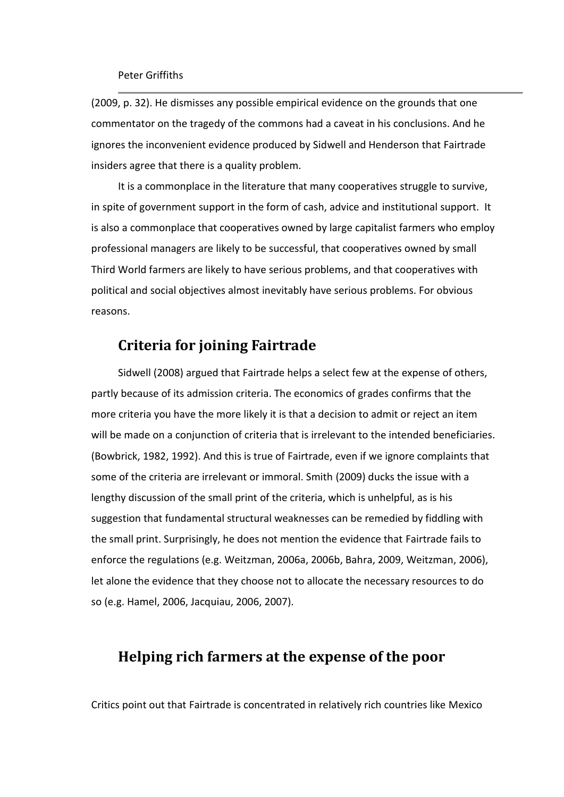(2009, p. 32). He dismisses any possible empirical evidence on the grounds that one commentator on the tragedy of the commons had a caveat in his conclusions. And he ignores the inconvenient evidence produced by Sidwell and Henderson that Fairtrade insiders agree that there is a quality problem.

It is a commonplace in the literature that many cooperatives struggle to survive, in spite of government support in the form of cash, advice and institutional support. It is also a commonplace that cooperatives owned by large capitalist farmers who employ professional managers are likely to be successful, that cooperatives owned by small Third World farmers are likely to have serious problems, and that cooperatives with political and social objectives almost inevitably have serious problems. For obvious reasons.

## **Criteria for joining Fairtrade**

Sidwell (2008) argued that Fairtrade helps a select few at the expense of others, partly because of its admission criteria. The economics of grades confirms that the more criteria you have the more likely it is that a decision to admit or reject an item will be made on a conjunction of criteria that is irrelevant to the intended beneficiaries. (Bowbrick, 1982, 1992). And this is true of Fairtrade, even if we ignore complaints that some of the criteria are irrelevant or immoral. Smith (2009) ducks the issue with a lengthy discussion of the small print of the criteria, which is unhelpful, as is his suggestion that fundamental structural weaknesses can be remedied by fiddling with the small print. Surprisingly, he does not mention the evidence that Fairtrade fails to enforce the regulations (e.g. Weitzman, 2006a, 2006b, Bahra, 2009, Weitzman, 2006), let alone the evidence that they choose not to allocate the necessary resources to do so (e.g. Hamel, 2006, Jacquiau, 2006, 2007).

# **Helping rich farmers at the expense of the poor**

Critics point out that Fairtrade is concentrated in relatively rich countries like Mexico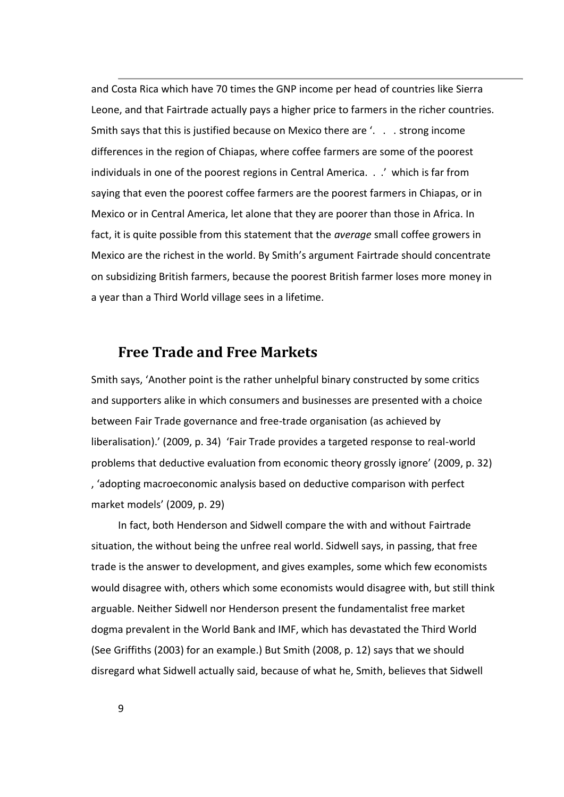and Costa Rica which have 70 times the GNP income per head of countries like Sierra Leone, and that Fairtrade actually pays a higher price to farmers in the richer countries. Smith says that this is justified because on Mexico there are '. . . strong income differences in the region of Chiapas, where coffee farmers are some of the poorest individuals in one of the poorest regions in Central America. . .' which is far from saying that even the poorest coffee farmers are the poorest farmers in Chiapas, or in Mexico or in Central America, let alone that they are poorer than those in Africa. In fact, it is quite possible from this statement that the *average* small coffee growers in Mexico are the richest in the world. By Smith's argument Fairtrade should concentrate on subsidizing British farmers, because the poorest British farmer loses more money in a year than a Third World village sees in a lifetime.

## **Free Trade and Free Markets**

Smith says, 'Another point is the rather unhelpful binary constructed by some critics and supporters alike in which consumers and businesses are presented with a choice between Fair Trade governance and free-trade organisation (as achieved by liberalisation).' (2009, p. 34) 'Fair Trade provides a targeted response to real-world problems that deductive evaluation from economic theory grossly ignore' (2009, p. 32) , 'adopting macroeconomic analysis based on deductive comparison with perfect market models' (2009, p. 29)

In fact, both Henderson and Sidwell compare the with and without Fairtrade situation, the without being the unfree real world. Sidwell says, in passing, that free trade is the answer to development, and gives examples, some which few economists would disagree with, others which some economists would disagree with, but still think arguable. Neither Sidwell nor Henderson present the fundamentalist free market dogma prevalent in the World Bank and IMF, which has devastated the Third World (See Griffiths (2003) for an example.) But Smith (2008, p. 12) says that we should disregard what Sidwell actually said, because of what he, Smith, believes that Sidwell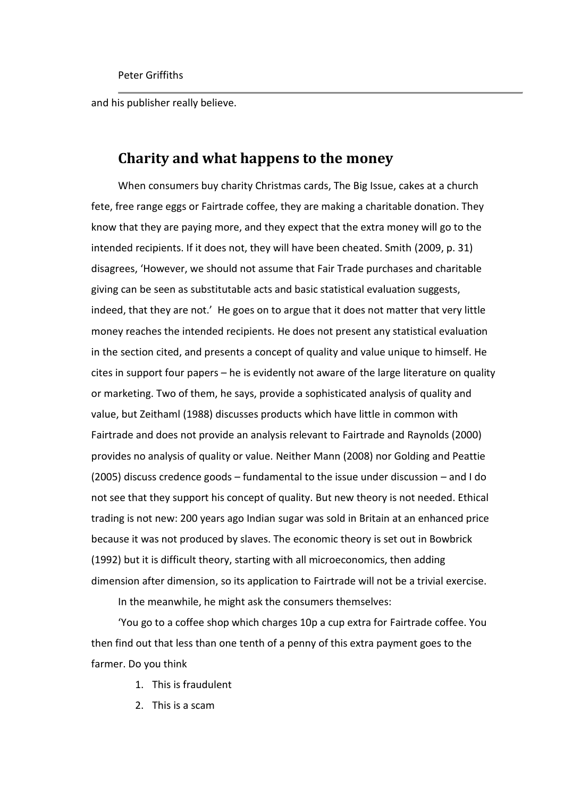and his publisher really believe.

# **Charity and what happens to the money**

When consumers buy charity Christmas cards, The Big Issue, cakes at a church fete, free range eggs or Fairtrade coffee, they are making a charitable donation. They know that they are paying more, and they expect that the extra money will go to the intended recipients. If it does not, they will have been cheated. Smith (2009, p. 31) disagrees, 'However, we should not assume that Fair Trade purchases and charitable giving can be seen as substitutable acts and basic statistical evaluation suggests, indeed, that they are not.' He goes on to argue that it does not matter that very little money reaches the intended recipients. He does not present any statistical evaluation in the section cited, and presents a concept of quality and value unique to himself. He cites in support four papers – he is evidently not aware of the large literature on quality or marketing. Two of them, he says, provide a sophisticated analysis of quality and value, but Zeithaml (1988) discusses products which have little in common with Fairtrade and does not provide an analysis relevant to Fairtrade and Raynolds (2000) provides no analysis of quality or value. Neither Mann (2008) nor Golding and Peattie (2005) discuss credence goods – fundamental to the issue under discussion – and I do not see that they support his concept of quality. But new theory is not needed. Ethical trading is not new: 200 years ago Indian sugar was sold in Britain at an enhanced price because it was not produced by slaves. The economic theory is set out in Bowbrick (1992) but it is difficult theory, starting with all microeconomics, then adding dimension after dimension, so its application to Fairtrade will not be a trivial exercise.

In the meanwhile, he might ask the consumers themselves:

'You go to a coffee shop which charges 10p a cup extra for Fairtrade coffee. You then find out that less than one tenth of a penny of this extra payment goes to the farmer. Do you think

- 1. This is fraudulent
- 2. This is a scam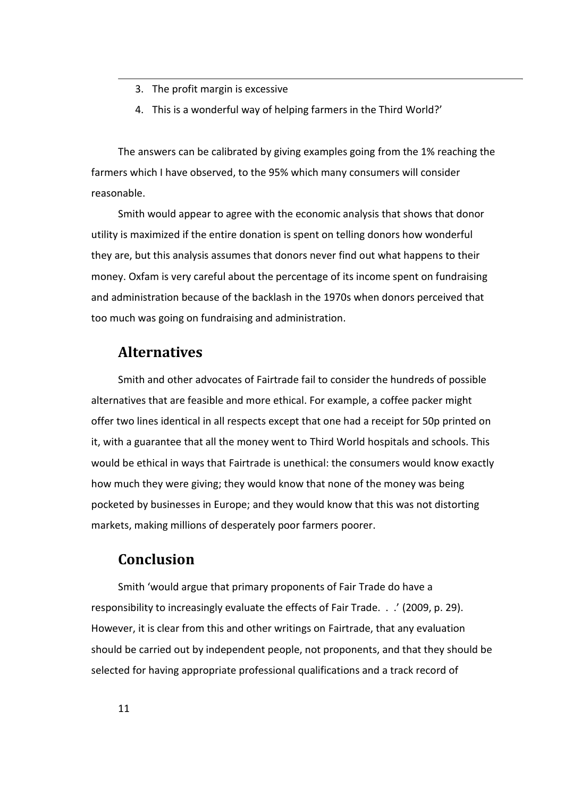- 3. The profit margin is excessive
- 4. This is a wonderful way of helping farmers in the Third World?'

The answers can be calibrated by giving examples going from the 1% reaching the farmers which I have observed, to the 95% which many consumers will consider reasonable.

Smith would appear to agree with the economic analysis that shows that donor utility is maximized if the entire donation is spent on telling donors how wonderful they are, but this analysis assumes that donors never find out what happens to their money. Oxfam is very careful about the percentage of its income spent on fundraising and administration because of the backlash in the 1970s when donors perceived that too much was going on fundraising and administration.

# **Alternatives**

Smith and other advocates of Fairtrade fail to consider the hundreds of possible alternatives that are feasible and more ethical. For example, a coffee packer might offer two lines identical in all respects except that one had a receipt for 50p printed on it, with a guarantee that all the money went to Third World hospitals and schools. This would be ethical in ways that Fairtrade is unethical: the consumers would know exactly how much they were giving; they would know that none of the money was being pocketed by businesses in Europe; and they would know that this was not distorting markets, making millions of desperately poor farmers poorer.

# **Conclusion**

Smith 'would argue that primary proponents of Fair Trade do have a responsibility to increasingly evaluate the effects of Fair Trade. . .' (2009, p. 29). However, it is clear from this and other writings on Fairtrade, that any evaluation should be carried out by independent people, not proponents, and that they should be selected for having appropriate professional qualifications and a track record of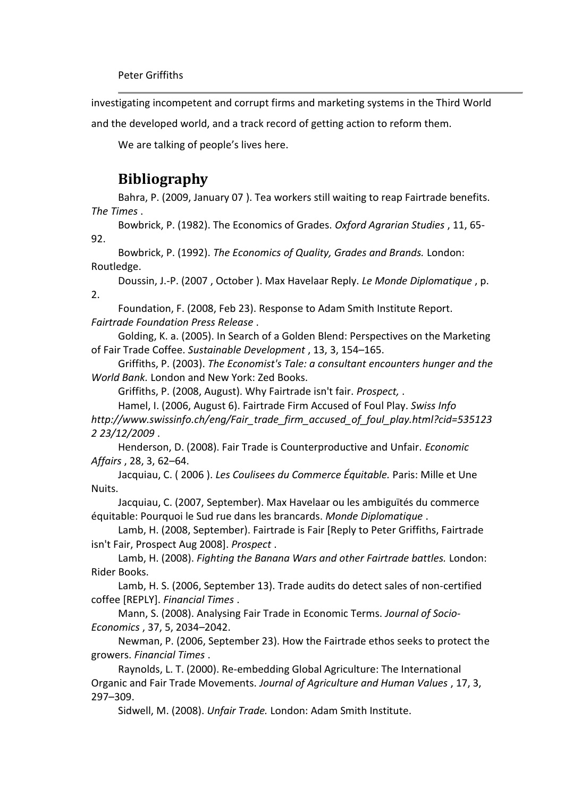investigating incompetent and corrupt firms and marketing systems in the Third World

and the developed world, and a track record of getting action to reform them.

We are talking of people's lives here.

# **Bibliography**

Bahra, P. (2009, January 07 ). Tea workers still waiting to reap Fairtrade benefits. *The Times* .

Bowbrick, P. (1982). The Economics of Grades. *Oxford Agrarian Studies* , 11, 65- 92.

Bowbrick, P. (1992). *The Economics of Quality, Grades and Brands.* London: Routledge.

Doussin, J.-P. (2007 , October ). Max Havelaar Reply. *Le Monde Diplomatique* , p. 2.

Foundation, F. (2008, Feb 23). Response to Adam Smith Institute Report. *Fairtrade Foundation Press Release* .

Golding, K. a. (2005). In Search of a Golden Blend: Perspectives on the Marketing of Fair Trade Coffee. *Sustainable Development* , 13, 3, 154–165.

Griffiths, P. (2003). *The Economist's Tale: a consultant encounters hunger and the World Bank.* London and New York: Zed Books.

Griffiths, P. (2008, August). Why Fairtrade isn't fair. *Prospect,* .

Hamel, I. (2006, August 6). Fairtrade Firm Accused of Foul Play. *Swiss Info http://www.swissinfo.ch/eng/Fair\_trade\_firm\_accused\_of\_foul\_play.html?cid=535123 2 23/12/2009* .

Henderson, D. (2008). Fair Trade is Counterproductive and Unfair. *Economic Affairs* , 28, 3, 62–64.

Jacquiau, C. ( 2006 ). *Les Coulisees du Commerce Équitable.* Paris: Mille et Une Nuits.

Jacquiau, C. (2007, September). Max Havelaar ou les ambiguïtés du commerce équitable: Pourquoi le Sud rue dans les brancards. *Monde Diplomatique* .

Lamb, H. (2008, September). Fairtrade is Fair [Reply to Peter Griffiths, Fairtrade isn't Fair, Prospect Aug 2008]. *Prospect* .

Lamb, H. (2008). *Fighting the Banana Wars and other Fairtrade battles.* London: Rider Books.

Lamb, H. S. (2006, September 13). Trade audits do detect sales of non-certified coffee [REPLY]. *Financial Times* .

Mann, S. (2008). Analysing Fair Trade in Economic Terms. *Journal of Socio-Economics* , 37, 5, 2034–2042.

Newman, P. (2006, September 23). How the Fairtrade ethos seeks to protect the growers. *Financial Times* .

Raynolds, L. T. (2000). Re-embedding Global Agriculture: The International Organic and Fair Trade Movements. *Journal of Agriculture and Human Values* , 17, 3, 297–309.

Sidwell, M. (2008). *Unfair Trade.* London: Adam Smith Institute.